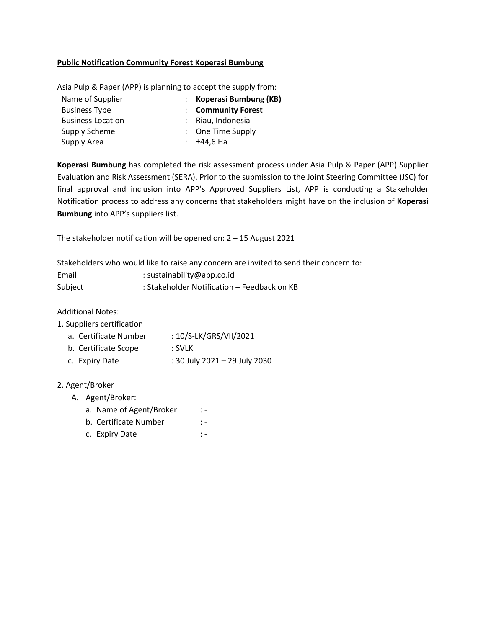## **Public Notification Community Forest Koperasi Bumbung**

Asia Pulp & Paper (APP) is planning to accept the supply from:

| Name of Supplier         | : Koperasi Bumbung (KB)      |
|--------------------------|------------------------------|
| <b>Business Type</b>     | : Community Forest           |
| <b>Business Location</b> | : Riau, Indonesia            |
| Supply Scheme            | $\therefore$ One Time Supply |
| Supply Area              | $: 144.6$ Ha                 |

**Koperasi Bumbung** has completed the risk assessment process under Asia Pulp & Paper (APP) Supplier Evaluation and Risk Assessment (SERA). Prior to the submission to the Joint Steering Committee (JSC) for final approval and inclusion into APP's Approved Suppliers List, APP is conducting a Stakeholder Notification process to address any concerns that stakeholders might have on the inclusion of **Koperasi Bumbung** into APP's suppliers list.

The stakeholder notification will be opened on: 2 – 15 August 2021

Stakeholders who would like to raise any concern are invited to send their concern to:

| Email   | : sustainability@app.co.id                  |
|---------|---------------------------------------------|
| Subject | : Stakeholder Notification - Feedback on KB |

Additional Notes:

|  |  | 1. Suppliers certification |
|--|--|----------------------------|
|--|--|----------------------------|

| a. Certificate Number | : 10/S-LK/GRS/VII/2021 |
|-----------------------|------------------------|
|-----------------------|------------------------|

- b. Certificate Scope : SVLK
- c. Expiry Date : 30 July 2021 29 July 2030

## 2. Agent/Broker

- A. Agent/Broker:
	- a. Name of Agent/Broker : -
	- b. Certificate Number : -
	- c. Expiry Date : -